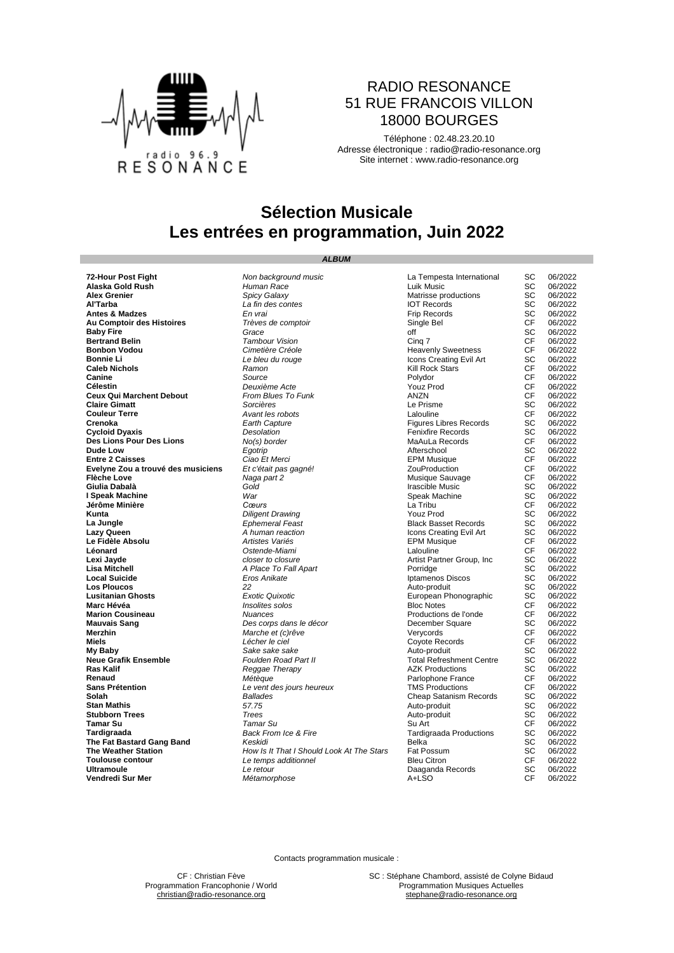

### RADIO RESONANCE 51 RUE FRANCOIS VILLON 18000 BOURGES

Téléphone : 02.48.23.20.10 Adresse électronique : [radio@radio-resonance.org](mailto:radio@radio-resonance.org) Site internet : [www.radio-resonance.org](http://www.radio-resonance.org/)

# **Sélection Musicale Les entrées en programmation, Juin 2022**

**Vendredi Sur Mer** 

*ALBUM*

**72-Hour Post Fight** *Non background music* La Tempesta International SC 06/2022 **Alaska Gold Rush** *Human Race* Luik Music SC 06/2022 **Alex Grenier** *Spicy Galaxy* Matrisse productions SC 06/2022 **Al'Tarba** *La fin des contes* IOT Records SC 06/2022 **Antes & Madzes** *En vrai* Frip Records SC 06/2022 **Au Comptoir des Histoires CF 16/2022**<br> **Au Comptoir des Histoires CF 06/2022**<br> **Bertrand Belin** SC 06/2022<br> **Bertrand Belin** CF 06/2022 **Baby Fire** *Grace* off SC 06/2022 **Bertrand Belin** *Tambour Vision* Cinq 7 CF 06/2022 **Bonbon Vodou** *Cimetière Créole* Heavenly Sweetness CF 06/2022 **Bonnie Li Bonnie Li Bonnie Li Caleb Nichols Caleb Nichols Caleb Nichols Icons Creating Evil Art SC** 06/2022<br> **Caleb Nichols Icons Canine CF** 06/2022<br> **Canine CF** 06/2022 **Caleb Nichols Caleb Nichols CF 06/2022**<br> **Canine** Canine **CF 06/2022**<br> **CF 06/2022 Canine** *Source* Polydor CF 06/2022 Celestin<br>
Celestin<br>
Ceux Qui Marchent Debout<br>
Ceux Qui Marchent Debout<br>
Crient Belowick Collection Blues To Funk<br>
Crient Collection ANZN<br>
Claire Gimatt Sorcières<br>
Crient Collection ANZN<br>
Crient Collection Crient Crient Cri **Ceux Qui Marchent Debout** *From Blues To Funk* **ANZN ANZN CF 06/2022<br>Claire Gimatt Sorcières Claire Communications and CF 06/2022 Claire Gimatt** *Sorcières* Le Prisme SC 06/2022 **Couleur Terre COULEUR COULEUR COULEUR COULEUR COULEUR COULEUR CENTERE AVANT LES ROBOTS COULEUR CENTERE AVANT LA<br>Crenoka CF 06/2022<br>Crenoka SC 06/2022 Crenoka Earth Capture Earth Capture Earth Capture Earth Capture Earth Capture Earth Capture Earth Capture E**<br> **Cycloid Dyaxis SC** 06/2022<br> **Cycloid Dyaxis Earth Capture** *Earth Capture* **Earth Capture Cycloid Dyaxis** *Desolation* Fenixfire Records SC 06/2022 **Des Lions Pour Des Lions**<br> **Des Lions Pour Des Lions**<br> **Dude Low**<br> **Example 2 Caisses**<br> **Example 2 Composition**<br> **Example 2 Composition**<br> **Example 2 Composition**<br> **EXAMPLE COMPOSITY COMPOSITY COMPOSITY**<br>
CE 06/2022<br> **EXAM Dude Low** *Egotrip* Afterschool SC 06/2022 **Entre 2 Caisses** *Ciao Et Merci* EPM Musique CF 06/2022 **Evelyne Zou a trouvé des musiciens** *Et c'était pas gagné!* ZouProduction CF 06/2022<br> **Flèche Love** CF 06/2022<br> **CF 06/2022 Flèche Love** *Naga part 2* Musique Sauvage CF 06/2022 Francisco **Gold**<br> **Gold** Speak Machine SC 06/2022<br> **Speak Machine SC 06/2022 I Speak Machine I Speak Machine** SC 06/2022<br> **Jérôme Minière Cœurs** Cœurs Cœurs<br> *Diligent Drawing* SC 16/2022<br> **Kunta** SC 06/2022 **Jérôme Minière** *Cœurs* La Tribu CF 06/2022 **Kunta** *Diligent Drawing* Youz Prod SC 06/2022 **La Jungle La Jungle Ephemeral Feast Black Basset Records** SC<br> **Lazy Queen A** *A human reaction* **SC** 16/2008 Creating Evil Art SC<br> **Le Fidèle Absolu CF** Artistes Variés **Lazy Queen** *A human reaction* Icons Creating Evil Art SC 06/2022 **Le Fidèle Absolu** *Artistes Variés* EPM Musique CF 06/2022 **Léonard** *Ostende-Miami* Lalouline CF 06/2022 **Lexi Jayde Contract Consumer Consumer Consumer Artist Partner Group, Inc SC 06/2022<br>
<b>Lisa Mitchell Consumer Consumer A** Place To Fall Apart **Consumer Consumer Consumer Consumer A** Place To Fall Apart **Provide Porti Lisa Mitchell A Place To Fall Apart Porridge SC 06/2022**<br> **Local Suicide A Place To Fall Apart** Porridge **SC 06/2022**<br> **Los Ploucos** SC 06/2022<br> **Los Ploucos** SC 06/2022 **Local Suicide** *Eros Anikate* Iptamenos Discos SC 06/2022 **Los Ploucos** *22* Auto-produit SC 06/2022 **Lusitanian Ghosts**<br> **Lusitanian Ghosts**<br> **Marc Hévéa Exotic Quixotic** European Phonographic SC 06/2022<br> **March Cousineau Muances** *Nuances* **Productions de l'onde CF 06/2022**<br> **Marion Cousineau Muances** *Nuances* **P Marc Hévéa** *Insolites solos* Bloc Notes CF 06/2022 **Marion Cousineau** *Nuances* Productions de l'onde CF 06/2022 **Mauvais Sang Des corps dans le décor December Square SC 06/2022**<br> **Marchin Marche et c**) rêve **SC 16/2022**<br> **Marchin CF** 06/2022 **Merzhin Marche et (c)rêve** Verycords Verycords CF 06/2022<br> **Miels** CF 06/2022<br> **My Baby** Coyote Records CF 06/2022<br> **My Baby** Sake sake sake bake CH Auto-produit SC 06/2022 **Miels** *Lécher le ciel* Coyote Records CF 06/2022 **My Baby Sake sake sake sake** Auto-produit SC 06/2022<br> **Neue Grafik Ensemble SC 06/2022**<br> **Neue Grafik Ensemble SC 06/2022 Neue Grafik Ensemble** *Foulden Road Part II* Total Refreshment Centre SC 06/2022 **Ras Kalif Reggae Therapy AZK Productions** SC 06/2022 **SC** 06/2022 **Renaud CF 06/2022**<br> **Sans Prétention** CF 06/2022<br> **Sans Prétention** CF 06/2022 **Sans Prétention**<br> **Sans Prétention**<br> **Solah CF 06/2022**<br> **Solah Cheap Satanism Records** SC 06/2022 **Solah** *Ballades* Cheap Satanism Records SC 06/2022 **Stan Mathis** *57.75* Auto-produit SC 06/2022 **Stubborn Trees Stubborn Trees** *Stubborn Trees* **SC 06/2022**<br> **Stubborn Trees SC 06/2022**<br> **Sulting Science of Trees** *Tamar Su* Sulting Sulting Science *SC* 06/2022 **Tamar Su** *Tamar Su* Su Art CF 06/2022 **Tardigraada Back From Ice & Fire Tardigraada Tardigraada SC 06/2022**<br>**The Fat Bastard Gang Band** *Back From Ice & Fire* **Tardigraada Productions** SC 06/2022<br>**The Weather Station** *How Is It That I Should Look At T* **The Fat Bastard Gang Band** *Keskidi Keskidi Keskidi* **Belka** Belka **SC 06/2022**<br> **The Weather Station SC** 06/2022<br> **The Weather Station** SC 06/2022 **The Weather Station**<br> **The Weather Station**<br> **The Weather Station**<br> **The Weather Station**<br>
SC 06/2022<br> **Toulouse contour**<br>
CF 06/2022 **Toulouse contour**<br> **Toulouse contour**<br> **Intramoule** CF 06/2022<br> **Ultramoule** CF 06/2022<br> **Ultramoule** CF 06/2022 **Ultramoule** *Le retour* Daaganda Records SC 06/2022

Contacts programmation musicale :

CF : Christian Fève **SC : Stéphane Chambord, assisté de Colyne Bidaud**<br> **SC : Stéphane Chambord, assisté de Colyne Bidaud**<br> **Programmation Musiques Actuelles** [christian@radio-resonance.org](mailto:christian@radio-resonance.org) [stephane@radio-resonance.org](mailto:stephane@radio-resonance.org) stephane@radio-resonance.org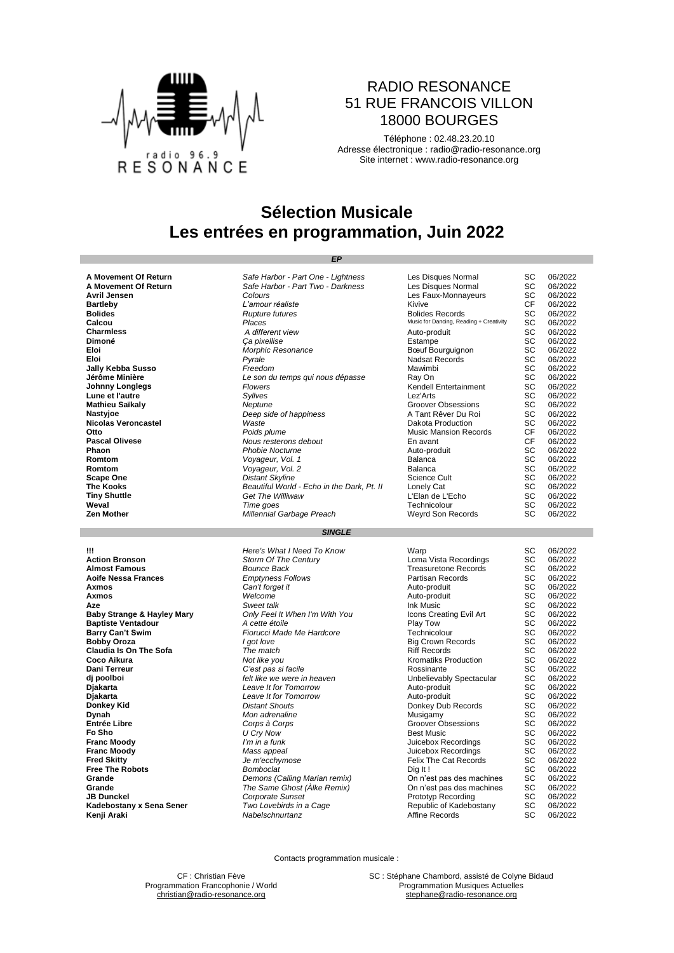

### RADIO RESONANCE 51 RUE FRANCOIS VILLON 18000 BOURGES

Téléphone : 02.48.23.20.10 Adresse électronique : [radio@radio-resonance.org](mailto:radio@radio-resonance.org) Site internet : [www.radio-resonance.org](http://www.radio-resonance.org/)

# **Sélection Musicale Les entrées en programmation, Juin 2022**

*EP*

| A Movement Of Return | Safe Harbor - Part One - Lightness         | Les Disques Normal                      | SC. | 06/2022 |
|----------------------|--------------------------------------------|-----------------------------------------|-----|---------|
| A Movement Of Return | Safe Harbor - Part Two - Darkness          | Les Disques Normal                      | SC  | 06/2022 |
| Avril Jensen         | Colours                                    | Les Faux-Monnayeurs                     | SC  | 06/2022 |
| <b>Bartleby</b>      | L'amour réaliste                           | Kivive                                  | CF. | 06/2022 |
| <b>Bolides</b>       | <b>Rupture futures</b>                     | <b>Bolides Records</b>                  | SC  | 06/2022 |
| Calcou               | Places                                     | Music for Dancing, Reading + Creativity | SC  | 06/2022 |
| <b>Charmless</b>     | A different view                           | Auto-produit                            | SC  | 06/2022 |
| Dimoné               | Ca pixellise                               | Estampe                                 | SC  | 06/2022 |
| Eloi                 | Morphic Resonance                          | Bœuf Bourguignon                        | SC  | 06/2022 |
| Eloi                 | Pyrale                                     | <b>Nadsat Records</b>                   | SC  | 06/2022 |
| Jally Kebba Susso    | Freedom                                    | Mawimbi                                 | SC  | 06/2022 |
| Jérôme Minière       | Le son du temps qui nous dépasse           | Ray On                                  | SC  | 06/2022 |
| Johnny Longlegs      | Flowers                                    | Kendell Entertainment                   | SC  | 06/2022 |
| Lune et l'autre      | Syllves                                    | Lez'Arts                                | SC  | 06/2022 |
| Mathieu Saïkaly      | Neptune                                    | Groover Obsessions                      | SC  | 06/2022 |
| Nastyjoe             | Deep side of happiness                     | A Tant Rêver Du Roi                     | SC  | 06/2022 |
| Nicolas Veroncastel  | Waste                                      | Dakota Production                       | SC. | 06/2022 |
| Otto                 | Poids plume                                | <b>Music Mansion Records</b>            | CF. | 06/2022 |
| Pascal Olivese       | Nous resterons debout                      | En avant                                | CF. | 06/2022 |
| Phaon                | <b>Phobie Nocturne</b>                     | Auto-produit                            | SC  | 06/2022 |
| Romtom               | Voyageur, Vol. 1                           | Balanca                                 | SC  | 06/2022 |
| Romtom               | Voyageur, Vol. 2                           | Balanca                                 | SC  | 06/2022 |
| Scape One            | <b>Distant Skyline</b>                     | Science Cult                            | SC  | 06/2022 |
| The Kooks            | Beautiful World - Echo in the Dark, Pt. II | Lonely Cat                              | SC  | 06/2022 |
| <b>Tiny Shuttle</b>  | <b>Get The Williwaw</b>                    | L'Elan de L'Echo                        | SC  | 06/2022 |
| Weval                | Time goes                                  | Technicolour                            | SC  | 06/2022 |
| Zen Mother           | Millennial Garbage Preach                  | Weyrd Son Records                       | SC  | 06/2022 |

### *SINGLE*

| Ш                                     | Here's What I Need To Know     | Warp                         | SC        | 06/2022 |
|---------------------------------------|--------------------------------|------------------------------|-----------|---------|
| <b>Action Bronson</b>                 | Storm Of The Century           | Loma Vista Recordings        | SC        | 06/2022 |
| <b>Almost Famous</b>                  | Bounce Back                    | <b>Treasuretone Records</b>  | SC        | 06/2022 |
| <b>Aoife Nessa Frances</b>            | <b>Emptyness Follows</b>       | Partisan Records             | SC        | 06/2022 |
| Axmos                                 | Can't forget it                | Auto-produit                 | SC        | 06/2022 |
| Axmos                                 | Welcome                        | Auto-produit                 | <b>SC</b> | 06/2022 |
| Aze                                   | Sweet talk                     | Ink Music                    | SC        | 06/2022 |
| <b>Baby Strange &amp; Hayley Mary</b> | Only Feel It When I'm With You | Icons Creating Evil Art      | SC        | 06/2022 |
| <b>Baptiste Ventadour</b>             | A cette étoile                 | Play Tow                     | SC        | 06/2022 |
| <b>Barry Can't Swim</b>               | Fiorucci Made Me Hardcore      | Technicolour                 | SC        | 06/2022 |
| <b>Bobby Oroza</b>                    | I got love                     | <b>Big Crown Records</b>     | SC        | 06/2022 |
| <b>Claudia Is On The Sofa</b>         | The match                      | <b>Riff Records</b>          | SC        | 06/2022 |
| Coco Aikura                           | Not like you                   | Kromatiks Production         | SC        | 06/2022 |
| <b>Dani Terreur</b>                   | C'est pas si facile            | Rossinante                   | SC        | 06/2022 |
| dj poolboi                            | felt like we were in heaven    | Unbelievably Spectacular     | SC        | 06/2022 |
| Djakarta                              | Leave It for Tomorrow          | Auto-produit                 | SC        | 06/2022 |
| Djakarta                              | Leave It for Tomorrow          | Auto-produit                 | SC        | 06/2022 |
| Donkey Kid                            | <b>Distant Shouts</b>          | Donkey Dub Records           | SC        | 06/2022 |
| Dynah                                 | Mon adrenaline                 | Musigamy                     | SC        | 06/2022 |
| <b>Entrée Libre</b>                   | Corps à Corps                  | Groover Obsessions           | SC        | 06/2022 |
| Fo Sho                                | U Cry Now                      | <b>Best Music</b>            | SC        | 06/2022 |
| <b>Franc Moody</b>                    | I'm in a funk                  | Juicebox Recordings          | SC        | 06/2022 |
| <b>Franc Moody</b>                    | Mass appeal                    | Juicebox Recordings          | SC        | 06/2022 |
| <b>Fred Skitty</b>                    | Je m'ecchymose                 | <b>Felix The Cat Records</b> | SC        | 06/2022 |
| <b>Free The Robots</b>                | Bomboclat                      | Dig It!                      | SC        | 06/2022 |
| Grande                                | Demons (Calling Marian remix)  | On n'est pas des machines    | SC        | 06/2022 |
| Grande                                | The Same Ghost (Alke Remix)    | On n'est pas des machines    | SC        | 06/2022 |
| <b>JB Dunckel</b>                     | Corporate Sunset               | Prototyp Recording           | SC        | 06/2022 |
| Kadebostany x Sena Sener              | Two Lovebirds in a Cage        | Republic of Kadebostany      | SC        | 06/2022 |
| Kenji Araki                           | Nabelschnurtanz                | Affine Records               | SC        | 06/2022 |
|                                       |                                |                              |           |         |

Contacts programmation musicale :

CF : Christian Fève SC : Stéphane Chambord, assisté de Colyne Bidaud<br>
mation Francophonie / World School School Programmation Musiques Actuelles [christian@radio-resonance.org](mailto:christian@radio-resonance.org) [stephane@radio-resonance.org](mailto:stephane@radio-resonance.org)